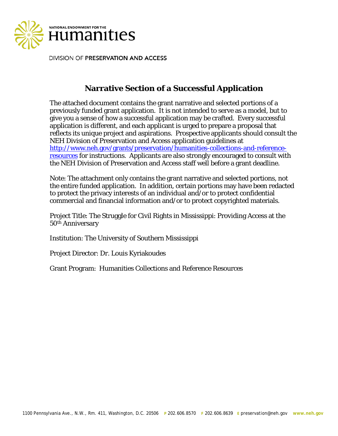

DIVISION OF PRESERVATION AND ACCESS

# **Narrative Section of a Successful Application**

The attached document contains the grant narrative and selected portions of a previously funded grant application. It is not intended to serve as a model, but to give you a sense of how a successful application may be crafted. Every successful application is different, and each applicant is urged to prepare a proposal that reflects its unique project and aspirations. Prospective applicants should consult the NEH Division of Preservation and Access application guidelines at [http://www.neh.gov/grants/preservation/humanities-collections-and-reference](http://www.neh.gov/grants/preservation/humanities-collections-and-reference-resources)[resources](http://www.neh.gov/grants/preservation/humanities-collections-and-reference-resources) for instructions. Applicants are also strongly encouraged to consult with the NEH Division of Preservation and Access staff well before a grant deadline.

Note: The attachment only contains the grant narrative and selected portions, not the entire funded application. In addition, certain portions may have been redacted to protect the privacy interests of an individual and/or to protect confidential commercial and financial information and/or to protect copyrighted materials.

Project Title: The Struggle for Civil Rights in Mississippi: Providing Access at the 50th Anniversary

Institution: The University of Southern Mississippi

Project Director: Dr. Louis Kyriakoudes

Grant Program: Humanities Collections and Reference Resources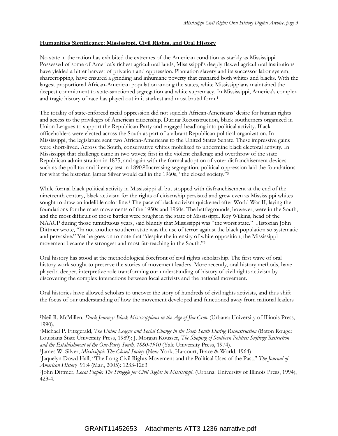#### **Humanities Significance: Mississippi, Civil Rights, and Oral History**

No state in the nation has exhibited the extremes of the American condition as starkly as Mississippi. Possessed of some of America's richest agricultural lands, Mississippi's deeply flawed agricultural institutions have yielded a bitter harvest of privation and oppression. Plantation slavery and its successor labor system, sharecropping, have ensured a grinding and inhumane poverty that ensnared both whites and blacks. With the largest proportional African-American population among the states, white Mississippians maintained the deepest commitment to state-sanctioned segregation and white supremacy. In Mississippi, America's complex and tragic history of race has played out in it starkest and most brutal form.<sup>1</sup>

The totality of state-enforced racial oppression did not squelch African-Americans' desire for human rights and access to the privileges of American citizenship. During Reconstruction, black southerners organized in Union Leagues to support the Republican Party and engaged headlong into political activity. Black officeholders were elected across the South as part of a vibrant Republican political organization. In Mississippi, the legislature sent two African-Americans to the United States Senate. These impressive gains were short-lived. Across the South, conservative whites mobilized to undermine black electoral activity. In Mississippi that challenge came in two waves; first in the violent challenge and overthrow of the state Republican administration in 1875, and again with the formal adoption of voter disfranchisement devices such as the poll tax and literacy test in 1890.<sup>2</sup> Increasing segregation, political oppression laid the foundations for what the historian James Silver would call in the 1960s, "the closed society."<sup>3</sup>

While formal black political activity in Mississippi all but stopped with disfranchisement at the end of the nineteenth century, black activism for the rights of citizenship persisted and grew even as Mississippi whites sought to draw an indelible color line. <sup>4</sup> The pace of black activism quickened after World War II, laying the foundations for the mass movements of the 1950s and 1960s. The battlegrounds, however, were in the South, and the most difficult of those battles were fought in the state of Mississippi. Roy Wilkins, head of the NAACP during those tumultuous years, said bluntly that Mississippi was "the worst state." Historian John Dittmer wrote, "In not another southern state was the use of terror against the black population so systematic and pervasive." Yet he goes on to note that "despite the intensity of white opposition, the Mississippi movement became the strongest and most far-reaching in the South."<sup>5</sup>

Oral history has stood at the methodological forefront of civil rights scholarship. The first wave of oral history work sought to preserve the stories of movement leaders. More recently, oral history methods, have played a deeper, interpretive role transforming our understanding of history of civil rights activism by discovering the complex interactions between local activists and the national movement.

Oral histories have allowed scholars to uncover the story of hundreds of civil rights activists, and thus shift the focus of our understanding of how the movement developed and functioned away from national leaders

 $\overline{a}$ 

<sup>1</sup>Neil R. McMillen, *Dark Journey: Black Mississippians in the Age of Jim Crow* (Urbana: University of Illinois Press, 1990).

<sup>2</sup>Michael P. Fitzgerald, *The Union League and Social Change in the Deep South During Reconstruction* (Baton Rouge: Louisiana State University Press, 1989); J. Morgan Kousser, *The Shaping of Southern Politics: Suffrage Restriction*  and the Establishment of the One-Party South, 1880-1910 (Yale University Press, 1974).

<sup>3</sup>James W. Silver, *Mississippi: The Closed Society* (New York, Harcourt, Brace & World, 1964)

<sup>4</sup>Jaquelyn Dowd Hall, "The Long Civil Rights Movement and the Political Uses of the Past," *The Journal of American History* 91:4 (Mar., 2005): 1233-1263

<sup>5</sup>John Dittmer, *Local People: The Struggle for Civil Rights in Mississippi*. (Urbana: University of Illinois Press, 1994), 423-4.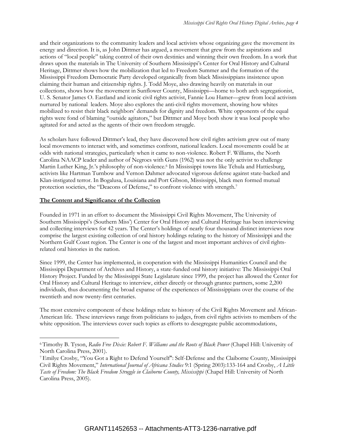and their organizations to the community leaders and local activists whose organizing gave the movement its energy and direction. It is, as John Dittmer has argued, a movement that grew from the aspirations and actions of "local people" taking control of their own destinies and winning their own freedom. In a work that draws upon the materials in The University of Southern Mississippi's Center for Oral History and Cultural Heritage, Dittmer shows how the mobilization that led to Freedom Summer and the formation of the Mississippi Freedom Democratic Party developed organically from black Mississippians insistence upon claiming their human and citizenship rights. J. Todd Moye, also drawing heavily on materials in our collections, shows how the movement in Sunflower County, Mississippi—home to both arch segregationist, U. S. Senator James O. Eastland and iconic civil rights activist, Fannie Lou Hamer—grew from local activism nurtured by national leaders. Moye also explores the anti-civil rights movement, showing how whites mobilized to resist their black neighbors' demands for dignity and freedom. White opponents of the equal rights were fond of blaming "outside agitators," but Dittmer and Moye both show it was local people who agitated for and acted as the agents of their own freedom struggle.

As scholars have followed Dittmer's lead, they have discovered how civil rights activism grew out of many local movements to interact with, and sometimes confront, national leaders. Local movements could be at odds with national strategies, particularly when it came to non-violence. Robert F. Williams, the North Carolina NAACP leader and author of Negroes with Guns (1962) was not the only activist to challenge Martin Luther King, Jr.'s philosophy of non-violence.<sup>6</sup> In Mississippi towns like Tchula and Hattiesburg, activists like Hartman Turnbow and Vernon Dahmer advocated vigorous defense against state-backed and Klan-instigated terror. In Bogalusa, Louisiana and Port Gibson, Mississippi, black men formed mutual protection societies, the "Deacons of Defense," to confront violence with strength.<sup>7</sup>

#### **The Content and Significance of the Collection**

 $\overline{a}$ 

Founded in 1971 in an effort to document the Mississippi Civil Rights Movement, The University of Southern Mississippi's (Southern Miss') Center for Oral History and Cultural Heritage has been interviewing and collecting interviews for 42 years. The Center's holdings of nearly four thousand distinct interviews now comprise the largest existing collection of oral history holdings relating to the history of Mississippi and the Northern Gulf Coast region. The Center is one of the largest and most important archives of civil rightsrelated oral histories in the nation.

Since 1999, the Center has implemented, in cooperation with the Mississippi Humanities Council and the Mississippi Department of Archives and History, a state-funded oral history initiative: The Mississippi Oral History Project. Funded by the Mississippi State Legislature since 1999, the project has allowed the Center for Oral History and Cultural Heritage to interview, either directly or through grantee partners, some 2,200 individuals, thus documenting the broad expanse of the experiences of Mississippians over the course of the twentieth and now twenty-first centuries.

The most extensive component of these holdings relate to history of the Civil Rights Movement and African-American life. These interviews range from politicians to judges, from civil rights activists to members of the white opposition. The interviews cover such topics as efforts to desegregate public accommodations,

<sup>6</sup> Timothy B. Tyson, *Radio Free Dixie: Robert F. Williams and the Roots of Black Power* (Chapel Hill: University of North Carolina Press, 2001).

<sup>7</sup>Emilye Crosby, "You Got a Right to Defend Yourself": Self-Defense and the Claiborne County, Mississippi Civil Rights Movement," *International Journal of Africana Studies* 9:1 (Spring 2003):133-164 and Crosby, *A Little Taste of Freedom: The Black Freedom Struggle in Claiborne County, Mississippi* (Chapel Hill: University of North Carolina Press, 2005).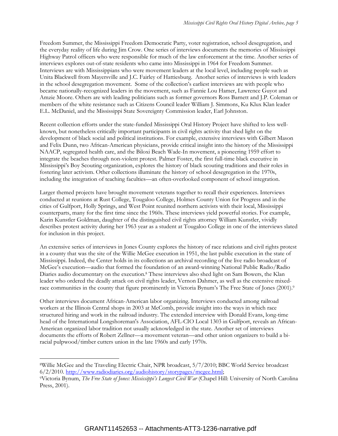Freedom Summer, the Mississippi Freedom Democratic Party, voter registration, school desegregation, and the everyday reality of life during Jim Crow. One series of interviews documents the memories of Mississippi Highway Patrol officers who were responsible for much of the law enforcement at the time. Another series of interviews explores out-of-state residents who came into Mississippi in 1964 for Freedom Summer. Interviews are with Mississippians who were movement leaders at the local level, including people such as Unita Blackwell from Mayersville and J.C. Fairley of Hattiesburg. Another series of interviews is with leaders in the school desegregation movement. Some of the collection's earliest interviews are with people who became nationally-recognized leaders in the movement, such as Fannie Lou Hamer, Lawrence Guyot and Amzie Moore. Others are with leading politicians such as former governors Ross Barnett and J.P. Coleman or members of the white resistance such as Citizens Council leader William J. Simmons, Ku Klux Klan leader E.L. McDaniel, and the Mississippi State Sovereignty Commission leader, Earl Johnston.

Recent collection efforts under the state-funded Mississippi Oral History Project have shifted to less wellknown, but nonetheless critically important participants in civil rights activity that shed light on the development of black social and political institutions. For example, extensive interviews with Gilbert Mason and Felix Dunn, two African-American physicians, provide critical insight into the history of the Mississippi NAACP, segregated health care, and the Biloxi Beach Wade-In movement, a pioneering 1959 effort to integrate the beaches through non-violent protest. Palmer Foster, the first full-time black executive in Mississippi's Boy Scouting organization, explores the history of black scouting traditions and their roles in fostering later activism. Other collections illuminate the history of school desegregation in the 1970s, including the integration of teaching faculties—an often-overlooked component of school integration.

Larger themed projects have brought movement veterans together to recall their experiences. Interviews conducted at reunions at Rust College, Tougaloo College, Holmes County Union for Progress and in the cities of Gulfport, Holly Springs, and West Point reunited northern activists with their local, Mississippi counterparts, many for the first time since the 1960s. These interviews yield powerful stories. For example, Karin Kunstler Goldman, daughter of the distinguished civil rights attorney William Kunstler, vividly describes protest activity during her 1963 year as a student at Tougaloo College in one of the interviews slated for inclusion in this project.

An extensive series of interviews in Jones County explores the history of race relations and civil rights protest in a county that was the site of the Willie McGee execution in 1951, the last public execution in the state of Mississippi. Indeed, the Center holds in its collections an archival recording of the live radio broadcast of McGee's execution—audio that formed the foundation of an award-winning National Public Radio/Radio Diaries audio documentary on the execution.<sup>8</sup> These interviews also shed light on Sam Bowers, the Klan leader who ordered the deadly attack on civil rights leader, Vernon Dahmer, as well as the extensive mixedrace communities in the county that figure prominently in Victoria Bynum's The Free State of Jones (2001).<sup>9</sup>

Other interviews document African-American labor organizing. Interviews conducted among railroad workers at the Illinois Central shops in 2003 at McComb, provide insight into the ways in which race structured hiring and work in the railroad industry. The extended interview with Donald Evans, long-time head of the International Longshoreman's Association, AFL-CIO Local 1303 in Gulfport, reveals an African-American organized labor tradition not usually acknowledged in the state. Another set of interviews documents the efforts of Robert Zellner—a movement veteran—and other union organizers to build a biracial pulpwood/timber cutters union in the late 1960s and early 1970s.

 $\overline{a}$ 

<sup>8</sup>Willie McGee and the Traveling Electric Chair, NPR broadcast, 5/7/2010; BBC World Service broadcast 6/2/2010. [http://www.radiodiaries.org/audiohistory/storypages/mcgee.html;](http://www.radiodiaries.org/audiohistory/storypages/mcgee.html)

<sup>9</sup>Victoria Bynum, *The Free State of Jones: Mississippi's Longest Civil War* (Chapel Hill: University of North Carolina Press, 2001).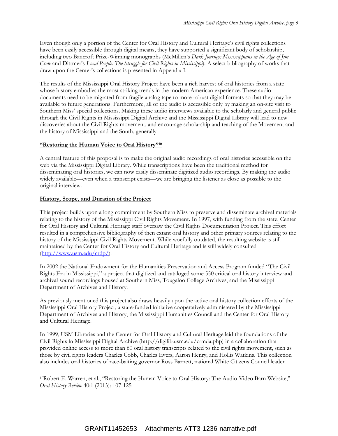Even though only a portion of the Center for Oral History and Cultural Heritage's civil rights collections have been easily accessible through digital means, they have supported a significant body of scholarship, including two Bancroft Prize-Winning monographs (McMillen's *Dark Journey: Mississippians in the Age of Jim Crow* and Dittmer's *Local People: The Struggle for Civil Rights in Mississippi*). A select bibliography of works that draw upon the Center's collections is presented in Appendix I.

The results of the Mississippi Oral History Project have been a rich harvest of oral histories from a state whose history embodies the most striking trends in the modern American experience. These audio documents need to be migrated from fragile analog tape to more robust digital formats so that they may be available to future generations. Furthermore, all of the audio is accessible only by making an on-site visit to Southern Miss' special collections. Making these audio interviews available to the scholarly and general public through the Civil Rights in Mississippi Digital Archive and the Mississippi Digital Library will lead to new discoveries about the Civil Rights movement, and encourage scholarship and teaching of the Movement and the history of Mississippi and the South, generally.

#### **"Restoring the Human Voice to Oral History"<sup>10</sup>**

A central feature of this proposal is to make the original audio recordings of oral histories accessible on the web via the Mississippi Digital Library. While transcriptions have been the traditional method for disseminating oral histories, we can now easily disseminate digitized audio recordings. By making the audio widely available—even when a transcript exists—we are bringing the listener as close as possible to the original interview.

## **History, Scope, and Duration of the Project**

 $\overline{a}$ 

This project builds upon a long commitment by Southern Miss to preserve and disseminate archival materials relating to the history of the Mississippi Civil Rights Movement. In 1997, with funding from the state, Center for Oral History and Cultural Heritage staff oversaw the Civil Rights Documentation Project. This effort resulted in a comprehensive bibliography of then extant oral history and other primary sources relating to the history of the Mississippi Civil Rights Movement. While woefully outdated, the resulting website is still maintained by the Center for Oral History and Cultural Heritage and is still widely consulted [\(http://www.usm.edu/crdp/\)](http://www.usm.edu/crdp/).

In 2002 the National Endowment for the Humanities Preservation and Access Program funded "The Civil Rights Era in Mississippi," a project that digitized and cataloged some 550 critical oral history interview and archival sound recordings housed at Southern Miss, Tougaloo College Archives, and the Mississippi Department of Archives and History.

As previously mentioned this project also draws heavily upon the active oral history collection efforts of the Mississippi Oral History Project, a state-funded initiative cooperatively administered by the Mississippi Department of Archives and History, the Mississippi Humanities Council and the Center for Oral History and Cultural Heritage.

In 1999, USM Libraries and the Center for Oral History and Cultural Heritage laid the foundations of the Civil Rights in Mississippi Digital Archive (http://digilib.usm.edu/crmda.php) in a collaboration that provided online access to more than 60 oral history transcripts related to the civil rights movement, such as those by civil rights leaders Charles Cobb, Charles Evers, Aaron Henry, and Hollis Watkins. This collection also includes oral histories of race-baiting governor Ross Barnett, national White Citizens Council leader

<sup>10</sup>Robert E. Warren, et al., "Restoring the Human Voice to Oral History: The Audio-Video Barn Website," *Oral History Review* 40:1 (2013): 107-125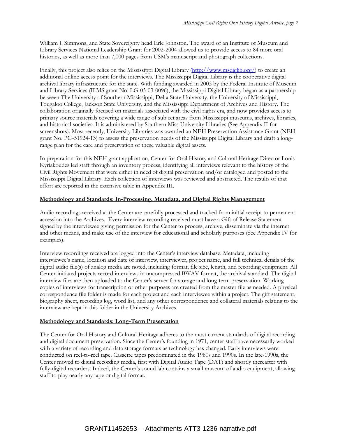William J. Simmons, and State Sovereignty head Erle Johnston. The award of an Institute of Museum and Library Services National Leadership Grant for 2002-2004 allowed us to provide access to 84 more oral histories, as well as more than 7,000 pages from USM's manuscript and photograph collections.

Finally, this project also relies on the Mississippi Digital Library [\(http://www.msdiglib.org/\)](http://www.msdiglib.org/) to create an additional online access point for the interviews. The Mississippi Digital Library is the cooperative digital archival library infrastructure for the state. With funding awarded in 2003 by the Federal Institute of Museum and Library Services (ILMS grant No. LG-03-03-0096), the Mississippi Digital Library began as a partnership between The University of Southern Mississippi, Delta State University, the University of Mississippi, Tougaloo College, Jackson State University, and the Mississippi Department of Archives and History. The collaboration originally focused on materials associated with the civil rights era, and now provides access to primary source materials covering a wide range of subject areas from Mississippi museums, archives, libraries, and historical societies. It is administered by Southern Miss University Libraries (See Appendix II for screenshots). Most recently, University Libraries was awarded an NEH Preservation Assistance Grant (NEH grant No. PG-51924-13) to assess the preservation needs of the Mississippi Digital Library and draft a longrange plan for the care and preservation of these valuable digital assets.

In preparation for this NEH grant application, Center for Oral History and Cultural Heritage Director Louis Kyriakoudes led staff through an inventory process, identifying all interviews relevant to the history of the Civil Rights Movement that were either in need of digital preservation and/or cataloged and posted to the Mississippi Digital Library. Each collection of interviews was reviewed and abstracted. The results of that effort are reported in the extensive table in Appendix III.

#### **Methodology and Standards: In-Processing, Metadata, and Digital Rights Management**

Audio recordings received at the Center are carefully processed and tracked from initial receipt to permanent accession into the Archives. Every interview recording received must have a Gift of Release Statement signed by the interviewee giving permission for the Center to process, archive, disseminate via the internet and other means, and make use of the interview for educational and scholarly purposes (See Appendix IV for examples).

Interview recordings received are logged into the Center's interview database. Metadata, including interviewee's name, location and date of interview, interviewer, project name, and full technical details of the digital audio file(s) of analog media are noted, including format, file size, length, and recording equipment. All Center-initiated projects record interviews in uncompressed BWAV format, the archival standard. The digital interview files are then uploaded to the Center's server for storage and long-term preservation. Working copies of interviews for transcription or other purposes are created from the master file as needed. A physical correspondence file folder is made for each project and each interviewee within a project. The gift statement, biography sheet, recording log, word list, and any other correspondence and collateral materials relating to the interview are kept in this folder in the University Archives.

#### **Methodology and Standards: Long-Term Preservation**

The Center for Oral History and Cultural Heritage adheres to the most current standards of digital recording and digital document preservation. Since the Center's founding in 1971, center staff have necessarily worked with a variety of recording and data storage formats as technology has changed. Early interviews were conducted on reel-to-reel tape. Cassette tapes predominated in the 1980s and 1990s. In the late-1990s, the Center moved to digital recording media, first with Digital Audio Tape (DAT) and shortly thereafter with fully-digital recorders. Indeed, the Center's sound lab contains a small museum of audio equipment, allowing staff to play nearly any tape or digital format.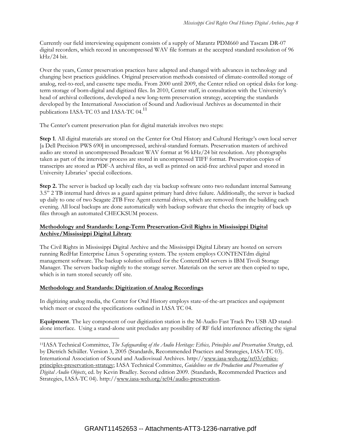Currently our field interviewing equipment consists of a supply of Marantz PDM660 and Tascam DR-07 digital recorders, which record in uncompressed WAV file formats at the accepted standard resolution of 96 kHz/24 bit.

Over the years, Center preservation practices have adapted and changed with advances in technology and changing best practices guidelines. Original preservation methods consisted of climate-controlled storage of analog, reel-to-reel, and cassette tape media. From 2000 until 2009, the Center relied on optical disks for longterm storage of born-digital and digitized files. In 2010, Center staff, in consultation with the University's head of archival collections, developed a new long-term preservation strategy, accepting the standards developed by the International Association of Sound and Audiovisual Archives as documented in their publications IASA-TC 03 and IASA-TC 04.<sup>11</sup>

The Center's current preservation plan for digital materials involves two steps:

**Step 1**. All digital materials are stored on the Center for Oral History and Cultural Heritage's own local server [a Dell Precision PWS 690] in uncompressed, archival-standard formats. Preservation masters of archived audio are stored in uncompressed Broadcast WAV format at 96 kHz/24 bit resolution. Any photographs taken as part of the interview process are stored in uncompressed TIFF format. Preservation copies of transcripts are stored as PDF-A archival files, as well as printed on acid-free archival paper and stored in University Libraries' special collections.

**Step 2.** The server is backed up locally each day via backup software onto two redundant internal Samsung 3.5" 2 TB internal hard drives as a guard against primary hard drive failure. Additionally, the server is backed up daily to one of two Seagate 2TB Free Agent external drives, which are removed from the building each evening. All local backups are done automatically with backup software that checks the integrity of back up files through an automated CHECKSUM process.

#### **Methodology and Standards: Long-Term Preservation-Civil Rights in Mississippi Digital Archive/Mississippi Digital Library**

The Civil Rights in Mississippi Digital Archive and the Mississippi Digital Library are hosted on servers running RedHat Enterprise Linux 5 operating system. The system employs CONTENTdm digital management software. The backup solution utilized for the ContentDM servers is IBM Tivoli Storage Manager. The servers backup nightly to the storage server. Materials on the server are then copied to tape, which is in turn stored securely off site.

#### **Methodology and Standards: Digitization of Analog Recordings**

 $\overline{a}$ 

In digitizing analog media, the Center for Oral History employs state-of-the-art practices and equipment which meet or exceed the specifications outlined in IASA TC 04.

**Equipment**. The key component of our digitization station is the M-Audio Fast Track Pro USB AD standalone interface. Using a stand-alone unit precludes any possibility of RF field interference affecting the signal

<sup>11</sup>IASA Technical Committee, *The Safeguarding of the Audio Heritage: Ethics, Principles and Preservation Strategy*, ed. by Dietrich Schüller. Version 3, 2005 (Standards, Recommended Practices and Strategies, IASA-TC 03). International Association of Sound and Audiovisual Archives. http:/[/www.iasa-web.org/tc03/ethics](http://www.iasa-web.org/tc03/ethics-principles-preservation-strategy)[principles-preservation-strategy;](http://www.iasa-web.org/tc03/ethics-principles-preservation-strategy) IASA Technical Committee, *Guidelines on the Production and Preservation of Digital Audio Objects*, ed. by Kevin Bradley. Second edition 2009. (Standards, Recommended Practices and Strategies, IASA-TC 04). http:/[/www.iasa-web.org/tc04/audio-preservation.](http://www.iasa-web.org/tc04/audio-preservation)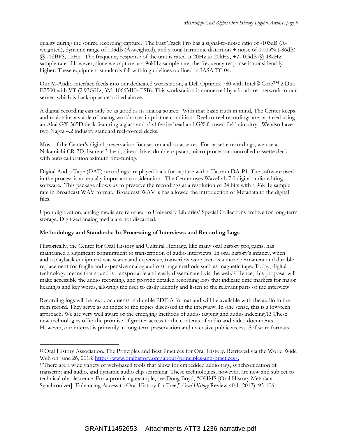quality during the source recording capture. The Fast Track Pro has a signal-to-noise ratio of -103dB (Aweighted), dynamic range of 103dB (A-weighted), and a total harmonic distortion + noise of 0.005% (-86dB)  $\omega$  -1dBFS, 1kHz. The frequency response of the unit is rated at 20Hz to 20kHz, +/-0.3dB  $\omega$  48kHz sample rate. However, since we capture at a 96kHz sample rate, the frequency response is considerably higher. These equipment standards fall within guidelines outlined in IASA TC 04.

Our M-Audio interface feeds into our dedicated workstation, a Dell Optiplex 780 with Intel® Core™ 2 Duo E7500 with VT (2.93GHz, 3M, 1066MHz FSB). This workstation is connected by a local area network to our server, which is back up as described above.

A digital recording can only be as good as its analog source. With that basic truth in mind, The Center keeps and maintains a stable of analog workhorses in pristine condition. Reel-to-reel recordings are captured using an Akai GX-365D deck featuring a glass and x'tal ferrite head and GX focused field circuitry. We also have two Nagra 4.2 industry standard reel-to-reel decks.

Most of the Center's digital preservation focuses on audio cassettes. For cassette recordings, we use a Nakamichi CR-7D discrete 3-head, direct drive, double capstan, micro-processor controlled cassette deck with auto calibration azimuth fine-tuning.

Digital Audio Tape (DAT) recordings are played back for capture with a Tascam DA-P1. The software used in the process is an equally important consideration. The Center uses WaveLab 7.0 digital audio editing software. This package allows us to preserve the recordings at a resolution of 24 bits with a 96kHz sample rate in Broadcast WAV format. Broadcast WAV is has allowed the introduction of Metadata to the digital files.

Upon digitization, analog media are returned to University Libraries' Special Collections archive for long-term storage. Digitized analog media are not discarded.

#### **Methodology and Standards: In-Processing of Interviews and Recording Logs**

 $\overline{a}$ 

Historically, the Center for Oral History and Cultural Heritage, like many oral history programs, has maintained a significant commitment to transcription of audio interviews. In oral history's infancy, when audio playback equipment was scarce and expensive, transcripts were seen as a more permanent and durable replacement for fragile and expensive analog audio storage methods such as magnetic tape. Today, digital technology means that sound is transportable and easily disseminated via the web. <sup>12</sup> Hence, this proposal will make accessible the audio recording, and provide detailed recording logs that indicate time markers for major headings and key words, allowing the user to easily identify and listen to the relevant parts of the interview.

Recording logs will be text documents in durable PDF-A format and will be available with the audio in the item record. They serve as an index to the topics discussed in the interview. In one sense, this is a low-tech approach. We are very well aware of the emerging methods of audio tagging and audio indexing.13 These new technologies offer the promise of greater access to the contents of audio and video documents. However, our interest is primarily in long-term preservation and extensive public access. Software formats

<sup>12</sup> Oral History Association. The Principles and Best Practices for Oral History. Retrieved via the World Wide Web on June 26, 2013: [http://www.oralhistory.org/about/principles-and-practices/.](http://www.oralhistory.org/about/principles-and-practices/)

<sup>&</sup>lt;sup>13</sup>There are a wide variety of web-based tools that allow for embedded audio tags, synchronization of transcript and audio, and dynamic audio clip searching. These technologies, however, are new and subject to technical obsolescence. For a promising example, see Doug Boyd, "OHMS [Oral History Metadata Synchronizer]: Enhancing Access to Oral History for Free," *Oral History* Review 40:1 (2013): 95-106.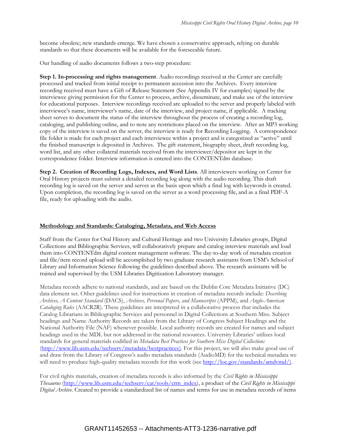become obsolete; new standards emerge. We have chosen a conservative approach, relying on durable standards so that these documents will be available for the foreseeable future.

Our handling of audio documents follows a two-step procedure:

**Step 1. In-processing and rights management**. Audio recordings received at the Center are carefully processed and tracked from initial receipt to permanent accession into the Archives. Every interview recording received must have a Gift of Release Statement (See Appendix IV for examples) signed by the interviewee giving permission for the Center to process, archive, disseminate, and make use of the interview for educational purposes. Interview recordings received are uploaded to the server and properly labeled with interviewee's name, interviewer's name, date of the interview, and project name, if applicable. A tracking sheet serves to document the status of the interview throughout the process of creating a recording log, cataloging, and publishing online, and to note any restrictions placed on the interview. After an MP3 working copy of the interview is saved on the server, the interview is ready for Recording Logging. A correspondence file folder is made for each project and each interviewee within a project and is categorized as "active" until the finished manuscript is deposited in Archives. The gift statement, biography sheet, draft recording log, word list, and any other collateral materials received from the interviewer/depositor are kept in the correspondence folder. Interview information is entered into the CONTENTdm database.

**Step 2. Creation of Recording Logs, Indexes, and Word Lists**. All interviewers working on Center for Oral History projects must submit a detailed recording log along with the audio recording. This draft recording log is saved on the server and serves as the basis upon which a final log with keywords is created. Upon completion, the recording log is saved on the server as a word processing file, and as a final PDF-A file, ready for uploading with the audio.

#### **Methodology and Standards: Cataloging, Metadata, and Web Access**

Staff from the Center for Oral History and Cultural Heritage and two University Libraries groups, Digital Collections and Bibliographic Services, will collaboratively prepare and catalog interview materials and load them into CONTENTdm digital content management software. The day-to-day work of metadata creation and file/item record upload will be accomplished by two graduate research assistants from USM's School of Library and Information Science following the guidelines described above. The research assistants will be trained and supervised by the USM Libraries Digitization Laboratory manager.

Metadata records adhere to national standards, and are based on the Dublin Core Metadata Initiative (DC) data element set. Other guidelines used for instructions in creation of metadata records include: *Describing Archives, A Content Standard* (DACS), *Archives, Personal Papers, and Manuscripts* (APPM), and *Anglo-American Cataloging Rules* (AACR2R). These guidelines are interpreted in a collaborative process that includes the Catalog Librarians in Bibliographic Services and personnel in Digital Collections at Southern Miss. Subject headings and Name Authority Records are taken from the Library of Congress Subject Headings and the National Authority File (NAF) whenever possible. Local authority records are created for names and subject headings used in the MDL but not addressed in the national resources. University Libraries' utilizes local standards for general materials codified in *Metadata Best Practices for Southern Miss Digital Collections*  [\(http://www.lib.usm.edu/techserv/metadata/bestpractices\)](http://www.lib.usm.edu/techserv/metadata/bestpractices). For this project, we will also make good use of and draw from the Library of Congress's audio metadata standards (AudioMD) for the technical metadata we will need to produce high-quality metadata records for this work (se[e http://loc.gov/standards/amdvmd/\).](http://loc.gov/standards/amdvmd/))

For civil rights materials, creation of metadata records is also informed by the *Civil Rights in Mississippi Thesaurus* [\(http://www.lib.usm.edu/techserv/cat/tools/crm\\_index\)](http://www.lib.usm.edu/techserv/cat/tools/crm_index), a product of the *Civil Rights in Mississippi Digital Archive*. Created to provide a standardized list of names and terms for use in metadata records of items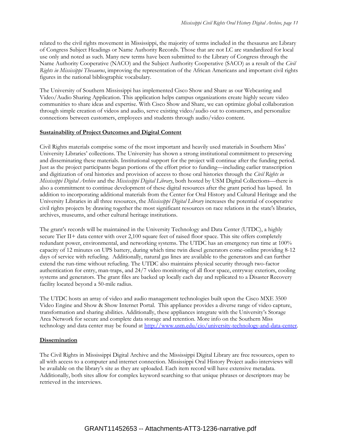related to the civil rights movement in Mississippi, the majority of terms included in the thesaurus are Library of Congress Subject Headings or Name Authority Records. Those that are not LC are standardized for local use only and noted as such. Many new terms have been submitted to the Library of Congress through the Name Authority Cooperative (NACO) and the Subject Authority Cooperative (SACO) as a result of the *Civil Rights in Mississippi Thesaurus*, improving the representation of the African Americans and important civil rights figures in the national bibliographic vocabulary.

The University of Southern Mississippi has implemented Cisco Show and Share as our Webcasting and Video/Audio Sharing Application. This application helps campus organizations create highly secure video communities to share ideas and expertise. With Cisco Show and Share, we can optimize global collaboration through simple creation of videos and audio, serve existing video/audio out to consumers, and personalize connections between customers, employees and students through audio/video content.

#### **Sustainability of Project Outcomes and Digital Content**

Civil Rights materials comprise some of the most important and heavily used materials in Southern Miss' University Libraries' collections. The University has shown a strong institutional commitment to preserving and disseminating these materials. Institutional support for the project will continue after the funding period. Just as the project participants began portions of the effort prior to funding—including earlier transcription and digitization of oral histories and provision of access to those oral histories through the *Civil Rights in Mississippi Digital Archive* and the *Mississippi Digital Library*, both hosted by USM Digital Collections—there is also a commitment to continue development of these digital resources after the grant period has lapsed. In addition to incorporating additional materials from the Center for Oral History and Cultural Heritage and the University Libraries in all three resources, the *Mississippi Digital Library* increases the potential of cooperative civil rights projects by drawing together the most significant resources on race relations in the state's libraries, archives, museums, and other cultural heritage institutions.

The grant's records will be maintained in the University Technology and Data Center (UTDC), a highly secure Tier II+ data center with over 2,100 square feet of raised floor space. This site offers completely redundant power, environmental, and networking systems. The UTDC has an emergency run time at 100% capacity of 12 minutes on UPS battery, during which time twin diesel generators come-online providing 8-12 days of service with refueling. Additionally, natural gas lines are available to the generators and can further extend the run-time without refueling. The UTDC also maintains physical security through two-factor authentication for entry, man-traps, and 24/7 video monitoring of all floor space, entryway exteriors, cooling systems and generators. The grant files are backed up locally each day and replicated to a Disaster Recovery facility located beyond a 50-mile radius.

The UTDC hosts an array of video and audio management technologies built upon the Cisco MXE 3500 Video Engine and Show & Show Internet Portal. This appliance provides a diverse range of video capture, transformation and sharing abilities. Additionally, these appliances integrate with the University's Storage Area Network for secure and complete data storage and retention. More info on the Southern Miss technology and data center may be found at [http://www.usm.edu/cio/university-technology-and-data-center.](http://www.usm.edu/cio/university-technology-and-data-center)

#### **Dissemination**

The Civil Rights in Mississippi Digital Archive and the Mississippi Digital Library are free resources, open to all with access to a computer and internet connection. Mississippi Oral History Project audio interviews will be available on the library's site as they are uploaded. Each item record will have extensive metadata. Additionally, both sites allow for complex keyword searching so that unique phrases or descriptors may be retrieved in the interviews.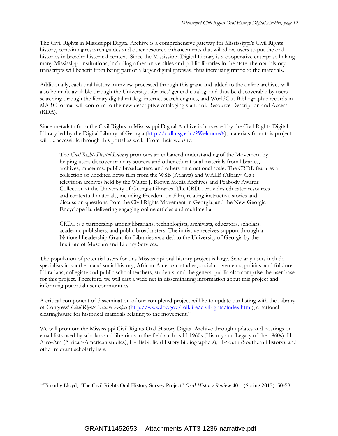The Civil Rights in Mississippi Digital Archive is a comprehensive gateway for Mississippi's Civil Rights history, containing research guides and other resource enhancements that will allow users to put the oral histories in broader historical context. Since the Mississippi Digital Library is a cooperative enterprise linking many Mississippi institutions, including other universities and public libraries in the state, the oral history transcripts will benefit from being part of a larger digital gateway, thus increasing traffic to the materials.

Additionally, each oral history interview processed through this grant and added to the online archives will also be made available through the University Libraries' general catalog, and thus be discoverable by users searching through the library digital catalog, internet search engines, and WorldCat. Bibliographic records in MARC format will conform to the new descriptive cataloging standard, Resource Description and Access (RDA).

Since metadata from the Civil Rights in Mississippi Digital Archive is harvested by the Civil Rights Digital Library led by the Digital Library of Georgia [\(http://crdl.usg.edu/?Welcome&\)](http://crdl.usg.edu/?Welcome&), materials from this project will be accessible through this portal as well. From their website:

The *Civil Rights Digital Library* promotes an enhanced understanding of the Movement by helping users discover primary sources and other educational materials from libraries, archives, museums, public broadcasters, and others on a national scale. The CRDL features a collection of unedited news film from the WSB (Atlanta) and WALB (Albany, Ga.) television archives held by the Walter J. Brown Media Archives and Peabody Awards Collection at the University of Georgia Libraries. The CRDL provides educator resources and contextual materials, including Freedom on Film, relating instructive stories and discussion questions from the Civil Rights Movement in Georgia, and the New Georgia Encyclopedia, delivering engaging online articles and multimedia.

CRDL is a partnership among librarians, technologists, archivists, educators, scholars, academic publishers, and public broadcasters. The initiative receives support through a National Leadership Grant for Libraries awarded to the University of Georgia by the Institute of Museum and Library Services.

The population of potential users for this Mississippi oral history project is large. Scholarly users include specialists in southern and social history, African-American studies, social movements, politics, and folklore. Librarians, collegiate and public school teachers, students, and the general public also comprise the user base for this project. Therefore, we will cast a wide net in disseminating information about this project and informing potential user communities.

A critical component of dissemination of our completed project will be to update our listing with the Library of Congress' *Civil Rights History Project* [\(http://www.loc.gov/folklife/civilrights/index.html\)](http://www.loc.gov/folklife/civilrights/index.html), a national clearinghouse for historical materials relating to the movement.<sup>14</sup>

We will promote the Mississippi Civil Rights Oral History Digital Archive through updates and postings on email lists used by scholars and librarians in the field such as H-1960s (History and Legacy of the 1960s), H-Afro-Am (African-American studies), H-HisBiblio (History bibliographers), H-South (Southern History), and other relevant scholarly lists.

 $\overline{a}$ 

<sup>&</sup>lt;sup>14</sup>Timothy Lloyd, "The Civil Rights Oral History Survey Project" *Oral History Review* 40:1 (Spring 2013): 50-53.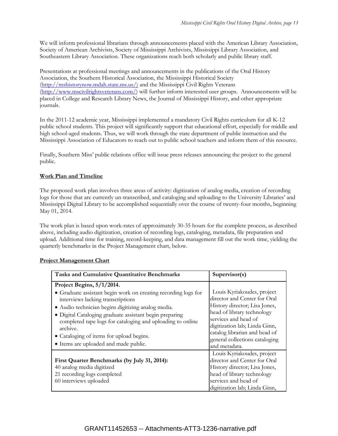We will inform professional librarians through announcements placed with the American Library Association, Society of American Archivists, Society of Mississippi Archivists, Mississippi Library Association, and Southeastern Library Association. These organizations reach both scholarly and public library staff.

Presentations at professional meetings and announcements in the publications of the Oral History Association, the Southern Historical Association, the Mississippi Historical Society [\(http://mshistorynow.mdah.state.ms.us/\)](http://mshistorynow.mdah.state.ms.us/) and the Mississippi Civil Rights Veterans [\(http://www.mscivilrightsveterans.com/\)](http://www.mscivilrightsveterans.com/) will further inform interested user groups. Announcements will be placed in College and Research Library News, the Journal of Mississippi History, and other appropriate journals.

In the 2011-12 academic year, Mississippi implemented a mandatory Civil Rights curriculum for all K-12 public school students. This project will significantly support that educational effort, especially for middle and high school-aged students. Thus, we will work through the state department of public instruction and the Mississippi Association of Educators to reach out to public school teachers and inform them of this resource.

Finally, Southern Miss' public relations office will issue press releases announcing the project to the general public.

## **Work Plan and Timeline**

The proposed work plan involves three areas of activity: digitization of analog media, creation of recording logs for those that are currently un-transcribed, and cataloging and uploading to the University Libraries' and Mississippi Digital Library to be accomplished sequentially over the course of twenty-four months, beginning May 01, 2014.

The work plan is based upon work-rates of approximately 30-35 hours for the complete process, as described above, including audio digitization, creation of recording logs, cataloging, metadata, file preparation and upload. Additional time for training, record-keeping, and data management fill out the work time, yielding the quarterly benchmarks in the Project Management chart, below.

| <b>Tasks and Cumulative Quantitative Benchmarks</b>                                                                                                                                                                                                                                                                                                                                                              | Supervisor(s)                                                                                                                                                                                                                                         |
|------------------------------------------------------------------------------------------------------------------------------------------------------------------------------------------------------------------------------------------------------------------------------------------------------------------------------------------------------------------------------------------------------------------|-------------------------------------------------------------------------------------------------------------------------------------------------------------------------------------------------------------------------------------------------------|
| Project Begins, 5/1/2014.<br>• Graduate assistant begin work on creating recording logs for<br>interviews lacking transcriptions<br>· Audio technician begins digitizing analog media.<br>· Digital Cataloging graduate assistant begin preparing<br>completed tape logs for cataloging and uploading to online<br>archive.<br>• Cataloging of items for upload begins.<br>• Items are uploaded and made public. | Louis Kyriakoudes, project<br>director and Center for Oral<br>History director; Lisa Jones,<br>head of library technology<br>services and head of<br>digitization lab; Linda Ginn,<br>catalog librarian and head of<br>general collections cataloging |
| First Quarter Benchmarks (by July 31, 2014):<br>40 analog media digitized<br>21 recording logs completed<br>60 interviews uploaded                                                                                                                                                                                                                                                                               | and metadata.<br>Louis Kyriakoudes, project<br>director and Center for Oral<br>History director; Lisa Jones,<br>head of library technology<br>services and head of<br>digitization lab; Linda Ginn,                                                   |

#### **Project Management Chart**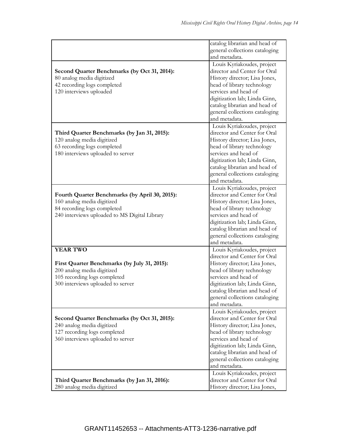|                                                | catalog librarian and head of<br>general collections cataloging |
|------------------------------------------------|-----------------------------------------------------------------|
|                                                | and metadata.                                                   |
|                                                | Louis Kyriakoudes, project                                      |
| Second Quarter Benchmarks (by Oct 31, 2014):   | director and Center for Oral                                    |
| 80 analog media digitized                      | History director; Lisa Jones,                                   |
| 42 recording logs completed                    | head of library technology                                      |
| 120 interviews uploaded                        | services and head of                                            |
|                                                | digitization lab; Linda Ginn,                                   |
|                                                | catalog librarian and head of                                   |
|                                                | general collections cataloging                                  |
|                                                | and metadata.                                                   |
|                                                | Louis Kyriakoudes, project                                      |
| Third Quarter Benchmarks (by Jan 31, 2015):    | director and Center for Oral                                    |
| 120 analog media digitized                     | History director; Lisa Jones,                                   |
| 63 recording logs completed                    | head of library technology                                      |
| 180 interviews uploaded to server              | services and head of                                            |
|                                                | digitization lab; Linda Ginn,                                   |
|                                                | catalog librarian and head of                                   |
|                                                | general collections cataloging                                  |
|                                                | and metadata.                                                   |
|                                                | Louis Kyriakoudes, project                                      |
| Fourth Quarter Benchmarks (by April 30, 2015): | director and Center for Oral                                    |
| 160 analog media digitized                     | History director; Lisa Jones,                                   |
| 84 recording logs completed                    | head of library technology                                      |
| 240 interviews uploaded to MS Digital Library  | services and head of                                            |
|                                                | digitization lab; Linda Ginn,                                   |
|                                                | catalog librarian and head of                                   |
|                                                | general collections cataloging                                  |
|                                                | and metadata.                                                   |
| <b>YEAR TWO</b>                                |                                                                 |
|                                                | Louis Kyriakoudes, project<br>director and Center for Oral      |
|                                                |                                                                 |
| First Quarter Benchmarks (by July 31, 2015):   | History director; Lisa Jones,                                   |
| 200 analog media digitized                     | head of library technology<br>services and head of              |
| 105 recording logs completed                   | digitization lab; Linda Ginn,                                   |
| 300 interviews uploaded to server              |                                                                 |
|                                                | catalog librarian and head of                                   |
|                                                | general collections cataloging                                  |
|                                                | and metadata.                                                   |
|                                                | Louis Kyriakoudes, project                                      |
| Second Quarter Benchmarks (by Oct 31, 2015):   | director and Center for Oral                                    |
| 240 analog media digitized                     | History director; Lisa Jones,                                   |
| 127 recording logs completed                   | head of library technology                                      |
| 360 interviews uploaded to server              | services and head of                                            |
|                                                | digitization lab; Linda Ginn,                                   |
|                                                | catalog librarian and head of                                   |
|                                                | general collections cataloging                                  |
|                                                | and metadata.                                                   |
|                                                | Louis Kyriakoudes, project                                      |
| Third Quarter Benchmarks (by Jan 31, 2016):    | director and Center for Oral                                    |
| 280 analog media digitized                     | History director; Lisa Jones,                                   |